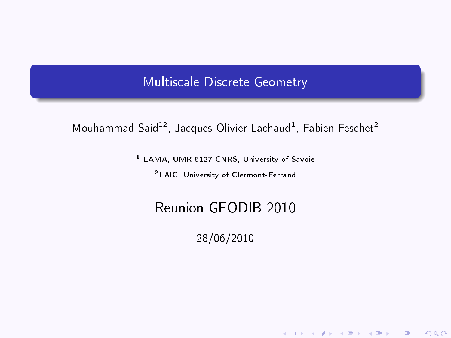### Multiscale Discrete Geometry

### Mouhammad Said<sup>12</sup>, Jacques-Olivier Lachaud<sup>1</sup>, Fabien Feschet<sup>2</sup>

<sup>1</sup> LAMA, UMR 5127 CNRS, University of Savoie

<sup>2</sup>LAIC, University of Clermont-Ferrand

## <span id="page-0-0"></span>Reunion GEODIB 2010

28/06/2010

《 ロ 》 《 御 》 《 唐 》 《 唐 》 《 唐

 $2Q$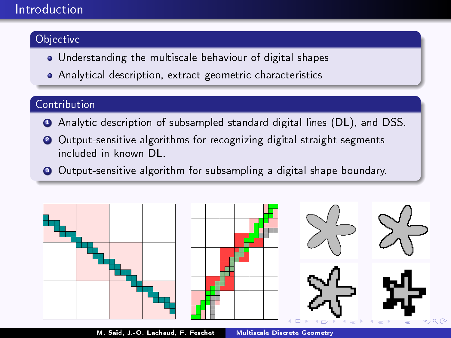### Introduction

#### Objective

- Understanding the multiscale behaviour of digital shapes
- Analytical description, extract geometric characteristics

#### Contribution

- **4** Analytic description of subsampled standard digital lines (DL), and DSS.
- <sup>2</sup> Output-sensitive algorithms for recognizing digital straight segments included in known DL.
- <sup>3</sup> Output-sensitive algorithm for subsampling a digital shape boundary.



M. Said, J.-O. Lachaud, F. Feschet [Multiscale Discrete Geometry](#page-0-0)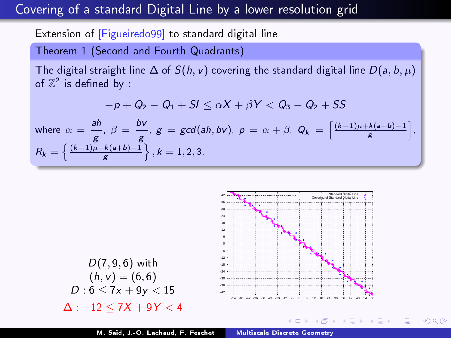## Covering of a standard Digital Line by a lower resolution grid

Extension of [Figueiredo99] to standard digital line

Theorem 1 (Second and Fourth Quadrants)

The digital straight line  $\Delta$  of  $S(h, v)$  covering the standard digital line  $D(a, b, \mu)$ of  $\mathbb{Z}^2$  is defined by :

$$
-p+Q_2-Q_1+SI\leq \alpha X+\beta Y< Q_3-Q_2+SS
$$

where 
$$
\alpha = \frac{ah}{g}
$$
,  $\beta = \frac{bv}{g}$ ,  $g = \gcd(ah, bv)$ ,  $p = \alpha + \beta$ ,  $Q_k = \left[\frac{(k-1)\mu + k(a+b)-1}{g}\right]$ ,  
\n $R_k = \left\{\frac{(k-1)\mu + k(a+b)-1}{g}\right\}$ ,  $k = 1, 2, 3$ .



 $2990$ 

重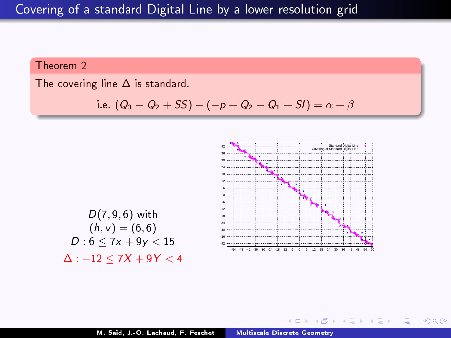Theorem 2

The covering line  $\Delta$  is standard.

i.e. 
$$
(Q_3 - Q_2 + SS) - (-p + Q_2 - Q_1 + SI) = \alpha + \beta
$$



イ何 ト イヨ ト イヨ ト

4 D F

 $E = \Omega Q$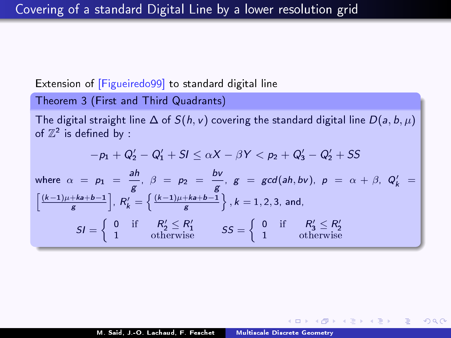#### Extension of [Figueiredo99] to standard digital line

Theorem 3 (First and Third Quadrants)

h

The digital straight line  $\Delta$  of  $S(h, v)$  covering the standard digital line  $D(a, b, \mu)$ of  $\mathbb{Z}^2$  is defined by :

$$
-p_1 + Q'_2 - Q'_1 + S \le \alpha X - \beta Y < p_2 + Q'_3 - Q'_2 + SS
$$
\nwhere  $\alpha = p_1 = \frac{ah}{g}$ ,  $\beta = p_2 = \frac{bv}{g}$ ,  $g = \gcd(ah, bv)$ ,  $p = \alpha + \beta$ ,  $Q'_k = \left[\frac{(k-1)\mu + k a + b - 1}{g}\right]$ ,  $R'_k = \left\{\frac{(k-1)\mu + k a + b - 1}{g}\right\}$ ,  $k = 1, 2, 3$ , and,

\n
$$
SI = \left\{\n\begin{array}{ccc}\n0 & \text{if } & R'_2 \le R'_1 \\
1 & \text{otherwise}\n\end{array}\n\right.\n\quad\nSS = \left\{\n\begin{array}{ccc}\n0 & \text{if } & R'_3 \le R'_2 \\
1 & \text{otherwise}\n\end{array}\n\right.
$$

化重变 化重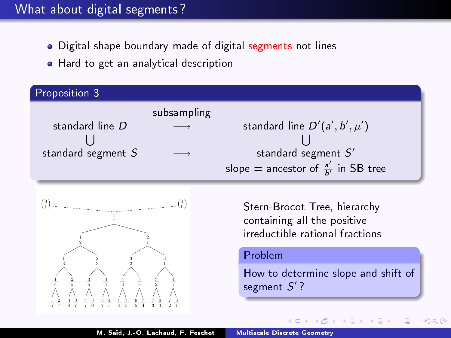- Digital shape boundary made of digital segments not lines
- Hard to get an analytical description

| Proposition 3        |             |                                                |
|----------------------|-------------|------------------------------------------------|
|                      | subsampling |                                                |
| standard line D      |             | standard line $D'(a', b', \mu')$               |
|                      |             |                                                |
| standard segment $S$ |             | standard segment $S'$                          |
|                      |             | slope = ancestor of $\frac{a'}{b'}$ in SB tree |



Stern-Brocot Tree, hierarchy containing all the positive irreductible rational fractions

#### Problem

How to determine slope and shift of segment  $S'$  ?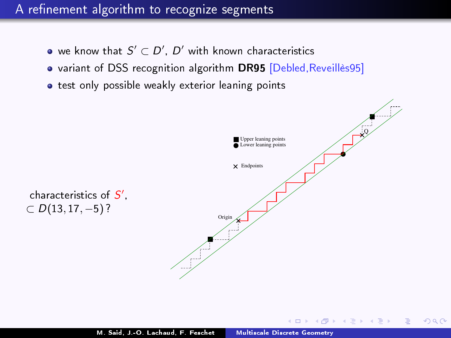- we know that  $S'\subset D'$ ,  $D'$  with known characteristics
- variant of DSS recognition algorithm DR95 [Debled,Reveillès95]
- **.** test only possible weakly exterior leaning points



 $QQ$ 

化重氮 化重氮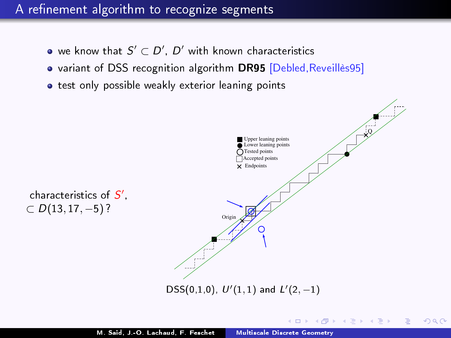- we know that  $S'\subset D'$ ,  $D'$  with known characteristics
- variant of DSS recognition algorithm DR95 [Debled,Reveillès95]
- o test only possible weakly exterior leaning points



4 D F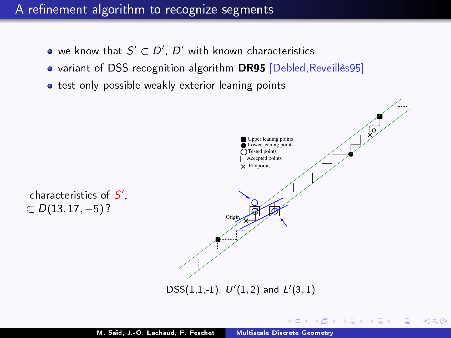- we know that  $S'\subset D'$ ,  $D'$  with known characteristics
- variant of DSS recognition algorithm DR95 [Debled,Reveillès95]
- o test only possible weakly exterior leaning points



 $-10<sup>-1</sup>$ 

∢ 重 ≯ → (重 ≯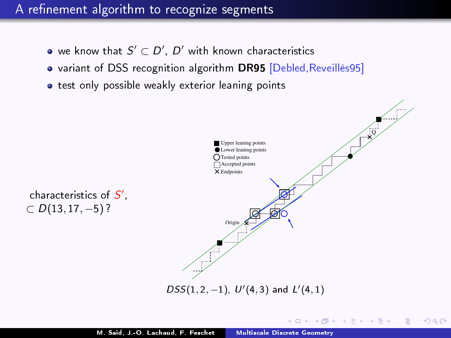- we know that  $S'\subset D'$ ,  $D'$  with known characteristics
- variant of DSS recognition algorithm DR95 [Debled,Reveillès95]
- o test only possible weakly exterior leaning points

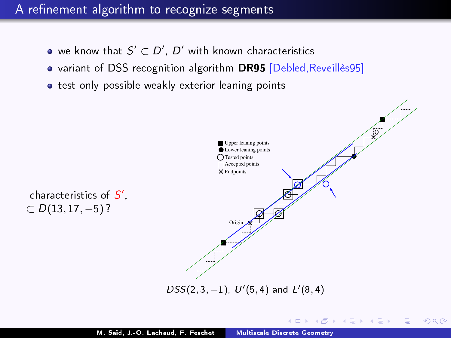- we know that  $S'\subset D'$ ,  $D'$  with known characteristics
- variant of DSS recognition algorithm DR95 [Debled,Reveillès95]
- o test only possible weakly exterior leaning points



 $-10<sup>-10</sup>$ 

 $\triangleright$  and  $\exists$   $\triangleright$  and  $\exists$   $\triangleright$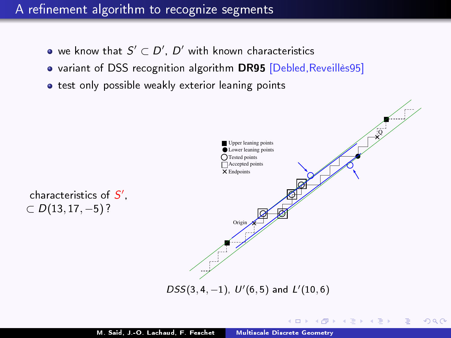- we know that  $S'\subset D'$ ,  $D'$  with known characteristics
- variant of DSS recognition algorithm DR95 [Debled,Reveillès95]
- o test only possible weakly exterior leaning points

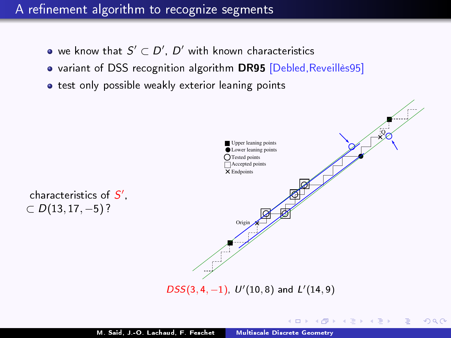- we know that  $S'\subset D'$ ,  $D'$  with known characteristics
- variant of DSS recognition algorithm DR95 [Debled,Reveillès95]
- o test only possible weakly exterior leaning points



 $-10<sup>-1</sup>$ 

メミメ メミメ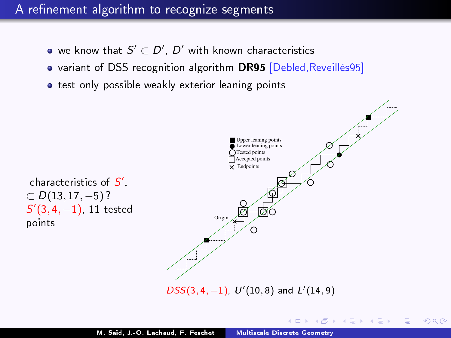- we know that  $S'\subset D'$ ,  $D'$  with known characteristics
- variant of DSS recognition algorithm DR95 [Debled, Reveillès95]
- **o** test only possible weakly exterior leaning points



 $QQ$ 

∢ロト ∢母ト ∢ヨト ∢ヨト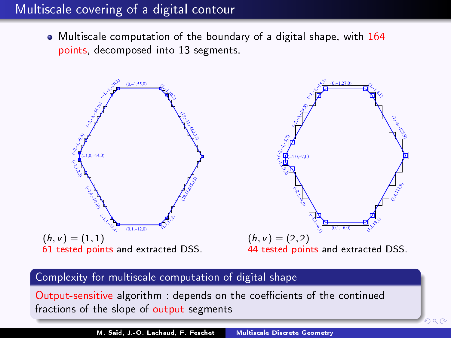## Multiscale covering of a digital contour

Multiscale computation of the boundary of a digital shape, with 164 points, decomposed into 13 segments.



#### Complexity for multiscale computation of digital shape

Output-sensitive algorithm : depends on the coefficients of the continued fractions of the slope of output segments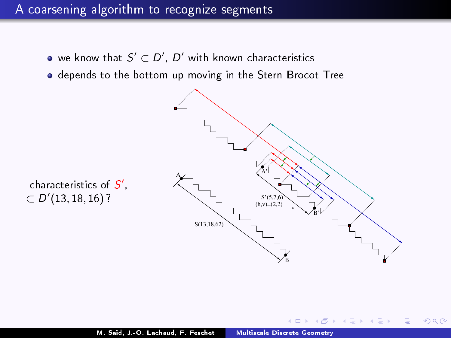- we know that  $S'\subset D'$ ,  $D'$  with known characteristics
- depends to the bottom-up moving in the Stern-Brocot Tree



 $299$ 

**B** K 重

characteristics of  $S^{\prime}$  ,  $\subset D'(13, 18, 16)$ ?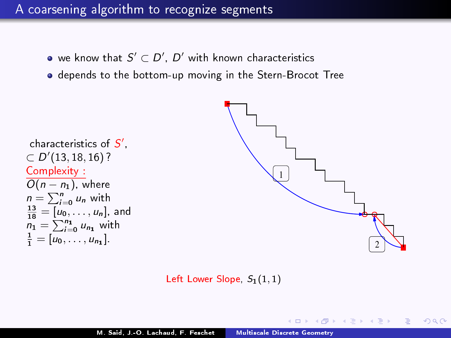- we know that  $S'\subset D'$ ,  $D'$  with known characteristics
- depends to the bottom-up moving in the Stern-Brocot Tree

```
characteristics of S^{\prime},\subset D'(13, 18, 16) ?
Complexity :
\overline{O(n-n_1)}, where
n = \sum_{i=0}^{n} u_n with
\frac{13}{18} = [u_0, \ldots, u_n], and
n_1 = \sum_{i=0}^{n_1} u_{n_1} with
\frac{1}{1} = [u_0, \ldots, u_{n_1}].
```


化重新 化重新

 $209$ 

Left Lower Slope,  $S_1(1,1)$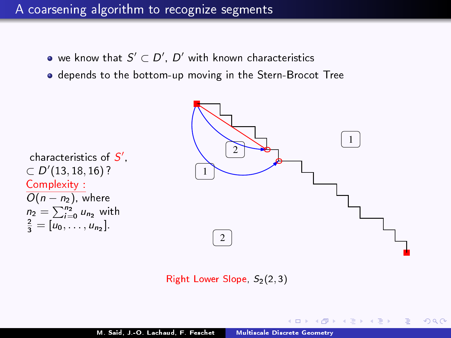- we know that  $S'\subset D'$ ,  $D'$  with known characteristics
- depends to the bottom-up moving in the Stern-Brocot Tree



 $QQQ$ 

- 4 重 8 - 4 重 8

Right Lower Slope,  $S<sub>2</sub>(2, 3)$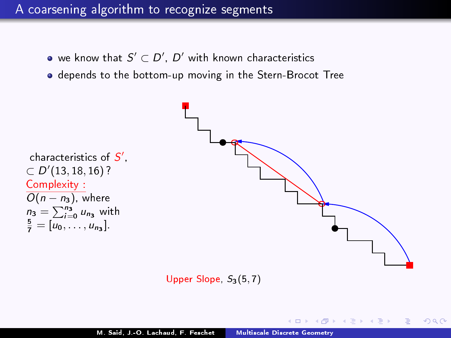- we know that  $S'\subset D'$ ,  $D'$  with known characteristics
- depends to the bottom-up moving in the Stern-Brocot Tree



Upper Slope,  $S_3(5,7)$ 

 $QQQ$ 

∢ 重 ≯ → 重 ≯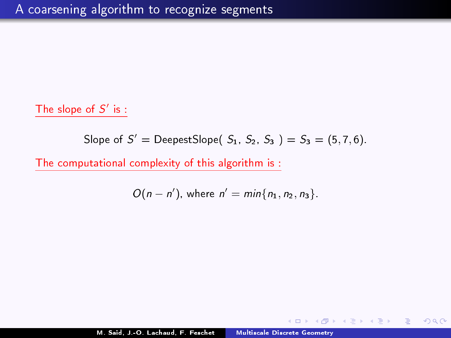#### The slope of  $S'$  is :

Slope of 
$$
S'
$$
 = DeepestSlope( $S_1$ ,  $S_2$ ,  $S_3$ ) =  $S_3$  = (5, 7, 6).

The computational complexity of this algorithm is :

$$
O(n - n'), where n' = min{n1, n2, n3}.
$$

医头面的头面的人

 $\overline{a}$ 

 $\equiv$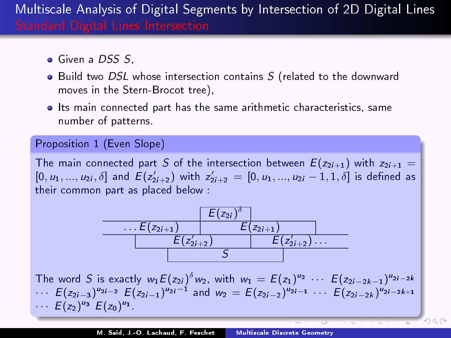- **Given a DSS S**
- Build two DSL whose intersection contains S (related to the downward moves in the Stern-Brocot tree),
- **Its main connected part has the same arithmetic characteristics, same** number of patterns.

#### Proposition 1 (Even Slope)

The main connected part S of the intersection between  $E(z_{2i+1})$  with  $z_{2i+1} =$  $[0, u_1, ..., u_{2i}, \delta]$  and  $E(z'_{2i+2})$  with  $z'_{2i+2} = [0, u_1, ..., u_{2i} - 1, 1, \delta]$  is defined as their common part as placed below :

$$
\begin{array}{c|c|c} & E(z_{2i})^{\delta} & \\ \hline & E(z_{2i+1}) & E(z_{2i+1}) & \\ \hline & E(z_{2i+2}^{\prime}) & E(z_{2i+2}^{\prime}) \ldots & \\ \hline & S & & \\ \hline \end{array}
$$

The word S is exactly  $w_1 E(z_2) \delta w_2$ , with  $w_1 = E(z_1)^{u_2} \cdots E(z_{2i-2k-1})^{u_{2i-2k}}$  $\cdots$   $E(z_{2i-3})^{u_{2i-2}}$   $E(z_{2i-1})^{u_{2i}-1}$  and  $w_2 = E(z_{2i-2})^{u_{2i-1}}$   $\cdots$   $E(z_{2i-2k})^{u_{2i-2k+1}}$  $\cdots E(z_2)^{u_3} E(z_0)^{u_1}$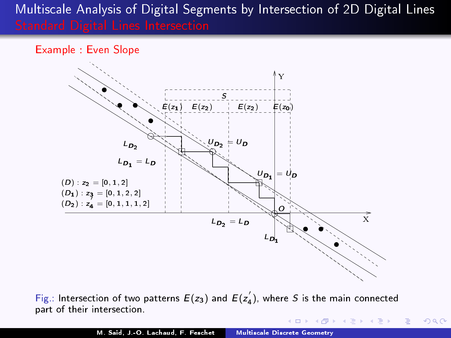Example : Even Slope



Fig.: Intersection of two patterns  $E(z_3)$  and  $E(z_4^{'})$ , where  $S$  is the main connected part of their intersection.

E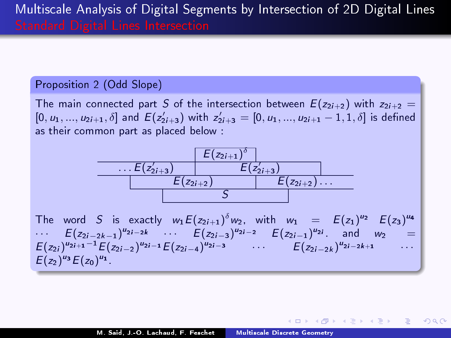Proposition 2 (Odd Slope)

The main connected part S of the intersection between  $E(z_{2i+2})$  with  $z_{2i+2} =$  $[0, u_1, ..., u_{2i+1}, \delta]$  and  $E(z'_{2i+3})$  with  $z'_{2i+3} = [0, u_1, ..., u_{2i+1} - 1, 1, \delta]$  is defined as their common part as placed below :



The word S is exactly  $w_1 E(z_{2i+1})^\delta w_2$ , with  $w_1 = E(z_1)^{u_2} E(z_3)^{u_4}$  $\cdots$   $E(z_{2i-2k-1})^{u_{2i-2k}}$   $\cdots$   $E(z_{2i-3})^{u_{2i-2}}$   $E(z_{2i-1})^{u_{2i}}$  and  $w_2$  =  $E(z_{2i})^{u_{2i+1}-1}E(z_{2i-2})^{u_{2i-1}}E(z_{2i-4})^{u_{2i-3}}$   $\cdots$   $E(z_{2i-2k})^{u_{2i-2k+1}}$   $\cdots$  $E(z_2)^{u_3}E(z_0)^{u_1}$ 

 $\langle \overline{m} \rangle$   $\langle \overline{z} \rangle$   $\langle \overline{z} \rangle$   $\langle \overline{z} \rangle$   $\langle \overline{z} \rangle$   $\langle \overline{z} \rangle$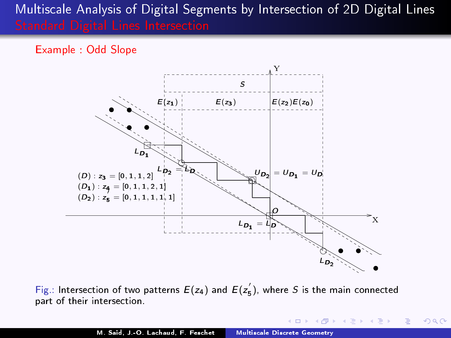Example : Odd Slope



Fig.: Intersection of two patterns  $E(z_4)$  and  $E(z_5^{'})$ , where  $S$  is the main connected part of their intersection.

 $\langle \overline{m} \rangle$   $\rightarrow$   $\pm$   $\rightarrow$   $\pm$   $\pm$   $\rightarrow$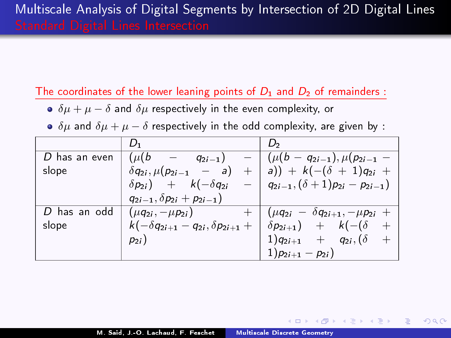The coordinates of the lower leaning points of  $D_1$  and  $D_2$  of remainders :

- $\bullet$   $\delta\mu + \mu \delta$  and  $\delta\mu$  respectively in the even complexity, or
- $\delta \mu$  and  $\delta \mu + \mu \delta$  respectively in the odd complexity, are given by :

|                 | ν,                                               | D,                                             |
|-----------------|--------------------------------------------------|------------------------------------------------|
| $D$ has an even | $(\mu(b))$<br>$q_{2i-1}$ )                       | $(\mu(b - q_{2i-1}), \mu(p_{2i-1} -$           |
| slope           | $\delta q_{2i}, \mu (p_{2i-1} - a)$<br>$+$       | a)) + $k(-(\delta + 1)q_{2i} +$                |
|                 | $\delta p_{2i}$ ) + $k(-\delta q_{2i})$          | $-   q_{2i-1}, (\delta+1)p_{2i}-p_{2i-1}) $    |
|                 | $q_{2i-1}, \delta p_{2i} + p_{2i-1})$            |                                                |
| D has an odd    | $(\mu q_{2i}, -\mu p_{2i})$                      | $(\mu q_{2i} - \delta q_{2i+1}, -\mu p_{2i} +$ |
| slope           | $k(-\delta q_{2i+1} - q_{2i}, \delta p_{2i+1} +$ | $\delta p_{2i+1}$ + $k(-(\delta$<br>$^{+}$     |
|                 | $p_{2i}$ )                                       | $1)q_{2i+1}$ + $q_{2i}$ , ( $\delta$<br>$^+$   |
|                 |                                                  | $1)p_{2i+1} - p_{2i}$                          |

医阿雷氏阿雷氏征

 $\equiv$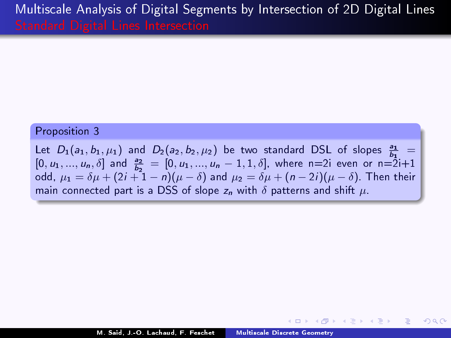#### Proposition 3

Let  $D_1(a_1, b_1, \mu_1)$  and  $D_2(a_2, b_2, \mu_2)$  be two standard DSL of slopes  $\frac{a_1}{b_1}$  =  $[0, u_1, ..., u_n, \delta]$  and  $\frac{a_2}{b_2} = [0, u_1, ..., u_n - 1, 1, \delta]$ , where n=2i even or n=2i+1 odd,  $\mu_1 = \delta \mu + (2i + 1 - n)(\mu - \delta)$  and  $\mu_2 = \delta \mu + (n - 2i)(\mu - \delta)$ . Then their main connected part is a DSS of slope  $z_n$  with  $\delta$  patterns and shift  $\mu$ .

医间周的 间面的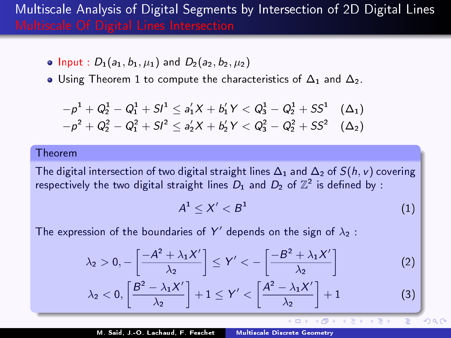• Input :  $D_1(a_1, b_1, \mu_1)$  and  $D_2(a_2, b_2, \mu_2)$ 

 $\bullet$  Using Theorem 1 to compute the characteristics of  $\Delta_1$  and  $\Delta_2$ .

$$
-p1 + Q21 - Q11 + SI1 \le a'1X + b'1Y < Q31 - Q21 + SS1 \quad (Δ1) -p2 + Q22 - Q12 + SI2 \le a'2X + b'2Y < Q32 - Q22 + SS2 \quad (Δ2)
$$

#### Theorem

The digital intersection of two digital straight lines  $\Delta_1$  and  $\Delta_2$  of  $S(h, v)$  covering respectively the two digital straight lines  $D_1$  and  $D_2$  of  $\mathbb{Z}^2$  is defined by :

$$
A^1 \leq X' < B^1 \tag{1}
$$

 $QQ$ 

4 国 国

The expression of the boundaries of Y' depends on the sign of  $\lambda_2$ :

$$
\lambda_2 > 0, -\left[\frac{-A^2 + \lambda_1 X'}{\lambda_2}\right] \le Y' < -\left[\frac{-B^2 + \lambda_1 X'}{\lambda_2}\right]
$$
 (2)

$$
\lambda_2<0, \left[\frac{B^2-\lambda_1X'}{\lambda_2}\right]+1\leq Y'<\left[\frac{A^2-\lambda_1X'}{\lambda_2}\right]+1\qquad \qquad (3)
$$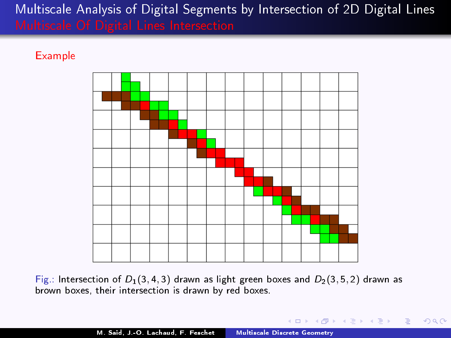#### **Example**



Fig.: Intersection of  $D_1(3, 4, 3)$  drawn as light green boxes and  $D_2(3, 5, 2)$  drawn as brown boxes, their intersection is drawn by red boxes.

K個→ K 君→ K 君→ 〈君〉 ◆ 9.00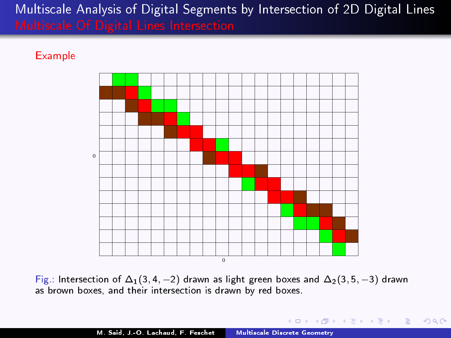#### **Example**



Fig.: Intersection of  $\Delta_1(3, 4, -2)$  drawn as light green boxes and  $\Delta_2(3, 5, -3)$  drawn as brown boxes, and their intersection is drawn by red boxes.

( @ ) ( E ) ( E ) = E ( O Q ( O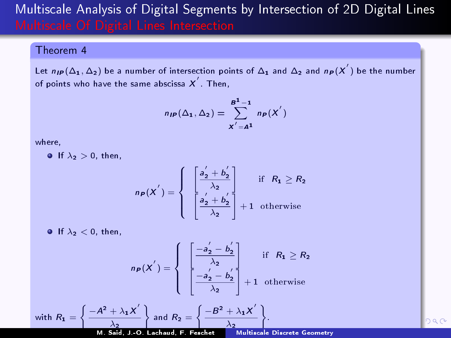#### Theorem 4

Let  $n_{I\!\!P}(\Delta_1,\Delta_2)$  be a number of intersection points of  $\Delta_1$  and  $\Delta_2$  and  $n_{\small{P}}(X^{'})$  be the number of points who have the same abscissa  $\boldsymbol{X}'$  . Then,

$$
n_{IP}(\Delta_1, \Delta_2) = \sum_{X^{'}=A^1}^{B^1-1} n_P(X^{'})
$$

where,

**If**  $\lambda_2 > 0$ , then,

$$
n_P(X^{'}) = \left\{ \begin{array}{c} \left[\frac{a_2^{'} + b_2^{'} }{\lambda_2} \right] & \text{if} \quad R_1 \geq R_2\\ \left[\frac{a_2^{'} + b_2^{'} }{\lambda_2} \right] + 1 & \text{otherwise} \end{array} \right.
$$

If  $\lambda_2 < 0$ , then,

$$
n_P(X') = \left\{ \begin{array}{c} \begin{bmatrix} -a_2' - b_2'\\ \lambda_2 \end{bmatrix} & \text{if } R_1 \geq R_2\\ \begin{bmatrix} -a_2' - b_2'\\ \lambda_2 \end{bmatrix} + 1 & \text{otherwise} \end{array} \right.
$$

with 
$$
R_1 = \left\{ \frac{-A^2 + \lambda_1 X^{'}}{\lambda_2} \right\}
$$
 and  $R_2 = \left\{ \frac{-B^2 + \lambda_1 X^{'}}{\lambda_2} \right\}$ 

screte Geometry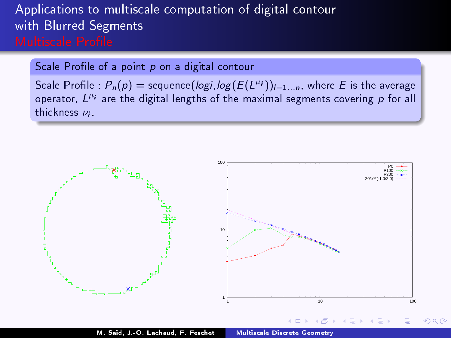## Applications to multiscale computation of digital contour with Blurred Segments

Scale Profile of a point  $p$  on a digital contour

Scale Profile :  $P_n(p)$  = sequence(*logi*,*log*( $E(L^{\mu_i})$ ) $_{i=1...n}$ , where E is the average operator,  $L^{\mu}$  are the digital lengths of the maximal segments covering  $p$  for all thickness  $\nu_i$ .

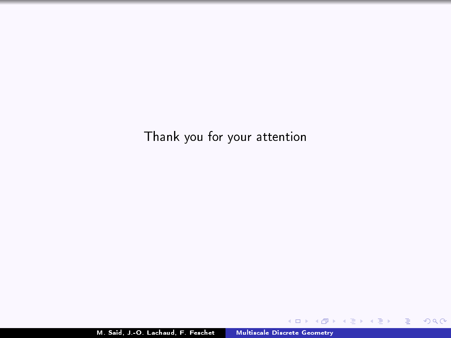Thank you for your attention

4. 0. 8.

す (御) とく き メーモ シート

■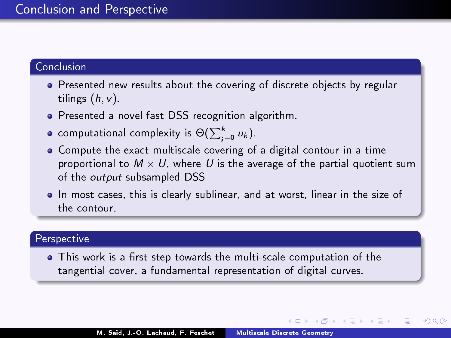#### Conclusion and Perspective

#### Conclusion

- Presented new results about the covering of discrete objects by regular tilings  $(h, v)$ .
- Presented a novel fast DSS recognition algorithm.
- computational complexity is  $\Theta(\sum_{i=0}^k u_k)$ .
- Compute the exact multiscale covering of a digital contour in a time proportional to  $M\times \overline{U}$ , where  $\overline{U}$  is the average of the partial quotient sum of the *output* subsampled DSS
- In most cases, this is clearly sublinear, and at worst, linear in the size of the contour.

#### Perspective

• This work is a first step towards the multi-scale computation of the tangential cover, a fundamental representation of digital curves.

K 御 × × 唐 × × 唐 ×